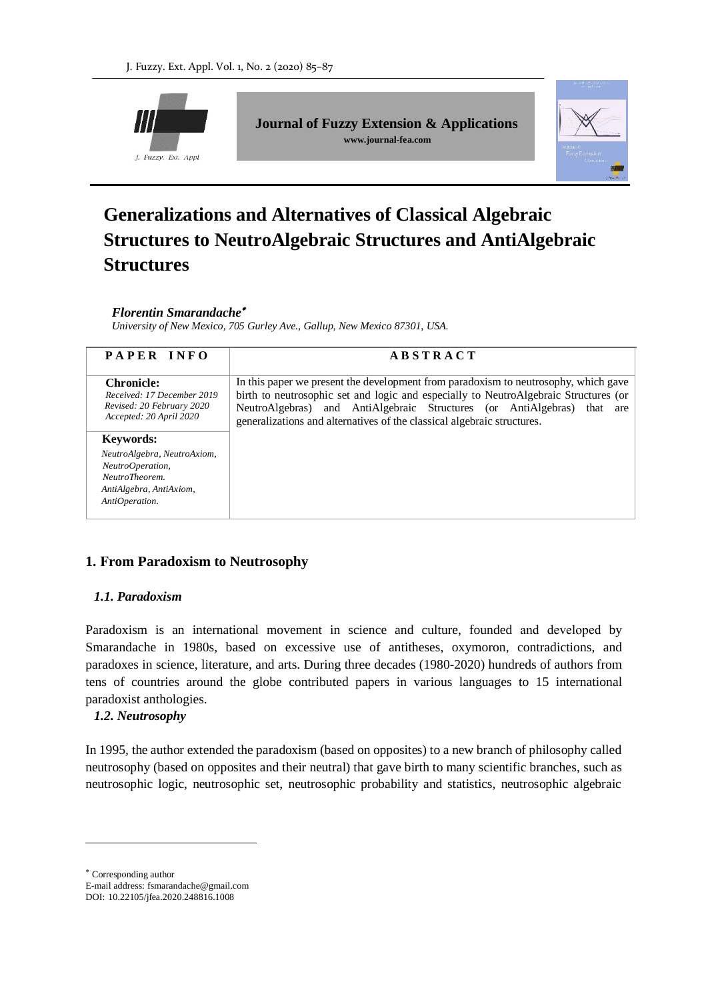

**Journal of Fuzzy Extension & Applications www.journal-fea.com**



# **Generalizations and Alternatives of Classical Algebraic Structures to NeutroAlgebraic Structures and AntiAlgebraic Structures**

#### *Florentin Smarandache*

*University of New Mexico, 705 Gurley Ave., Gallup, New Mexico 87301, USA.*

| PAPER INFO                                                                                                     | <b>ABSTRACT</b>                                                                                                                                                                                                                                                                                                                         |
|----------------------------------------------------------------------------------------------------------------|-----------------------------------------------------------------------------------------------------------------------------------------------------------------------------------------------------------------------------------------------------------------------------------------------------------------------------------------|
| <b>Chronicle:</b><br>Received: 17 December 2019<br>Revised: 20 February 2020<br>Accepted: 20 April 2020        | In this paper we present the development from paradoxism to neutrosophy, which gave<br>birth to neutrosophic set and logic and especially to NeutroAlgebraic Structures (or<br>NeutroAlgebras) and AntiAlgebraic Structures (or AntiAlgebras)<br>that<br>are<br>generalizations and alternatives of the classical algebraic structures. |
| <b>Keywords:</b>                                                                                               |                                                                                                                                                                                                                                                                                                                                         |
| NeutroAlgebra, NeutroAxiom,<br>NeutroOperation,<br>NeutroTheorem.<br>AntiAlgebra, AntiAxiom,<br>AntiOperation. |                                                                                                                                                                                                                                                                                                                                         |

## **1. From Paradoxism to Neutrosophy**

#### *1.1. Paradoxism*

Paradoxism is an international movement in science and culture, founded and developed by Smarandache in 1980s, based on excessive use of antitheses, oxymoron, contradictions, and paradoxes in science, literature, and arts. During three decades (1980-2020) hundreds of authors from tens of countries around the globe contributed papers in various languages to 15 international paradoxist anthologies.

#### *1.2. Neutrosophy*

In 1995, the author extended the paradoxism (based on opposites) to a new branch of philosophy called neutrosophy (based on opposites and their neutral) that gave birth to many scientific branches, such as neutrosophic logic, neutrosophic set, neutrosophic probability and statistics, neutrosophic algebraic

 Corresponding author E-mail address: fsmarandache@gmail.com DOI: 10.22105/jfea.2020.248816.1008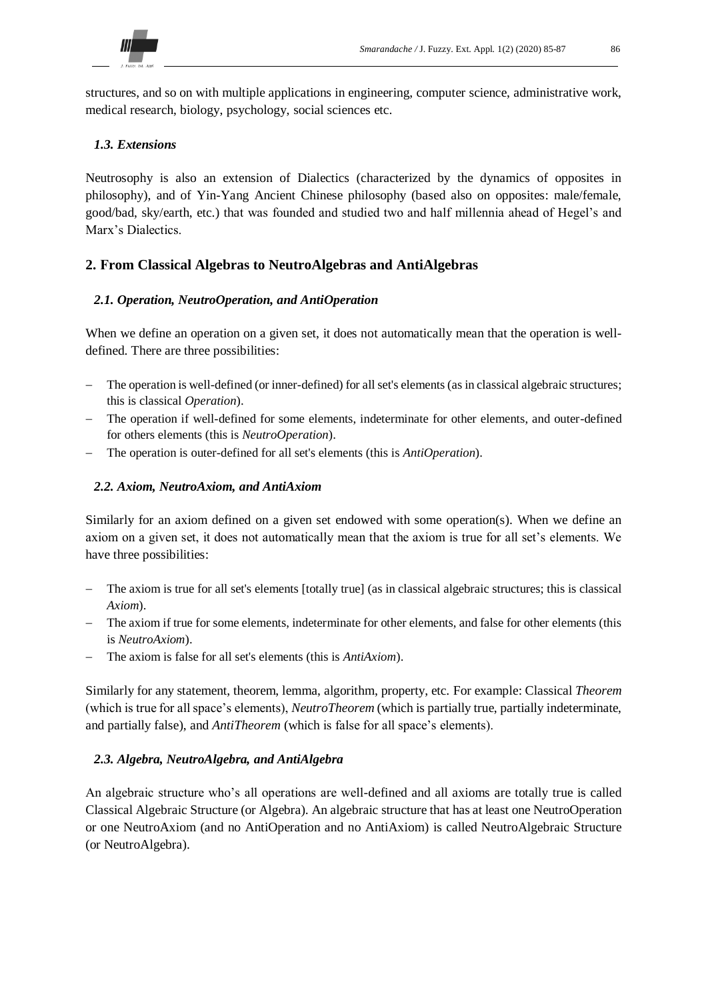

structures, and so on with multiple applications in engineering, computer science, administrative work, medical research, biology, psychology, social sciences etc.

### *1.3. Extensions*

Neutrosophy is also an extension of Dialectics (characterized by the dynamics of opposites in philosophy), and of Yin-Yang Ancient Chinese philosophy (based also on opposites: male/female, good/bad, sky/earth, etc.) that was founded and studied two and half millennia ahead of Hegel's and Marx's Dialectics.

## **2. From Classical Algebras to NeutroAlgebras and AntiAlgebras**

#### *2.1. Operation, NeutroOperation, and AntiOperation*

When we define an operation on a given set, it does not automatically mean that the operation is welldefined. There are three possibilities:

- The operation is well-defined (or inner-defined) for all set's elements (as in classical algebraic structures; this is classical *Operation*).
- The operation if well-defined for some elements, indeterminate for other elements, and outer-defined for others elements (this is *NeutroOperation*).
- The operation is outer-defined for all set's elements (this is *AntiOperation*).

#### *2.2. Axiom, NeutroAxiom, and AntiAxiom*

Similarly for an axiom defined on a given set endowed with some operation(s). When we define an axiom on a given set, it does not automatically mean that the axiom is true for all set's elements. We have three possibilities:

- The axiom is true for all set's elements [totally true] (as in classical algebraic structures; this is classical *Axiom*).
- The axiom if true for some elements, indeterminate for other elements, and false for other elements (this is *NeutroAxiom*).
- The axiom is false for all set's elements (this is *AntiAxiom*).

Similarly for any statement, theorem, lemma, algorithm, property, etc. For example: Classical *Theorem* (which is true for all space's elements), *NeutroTheorem* (which is partially true, partially indeterminate, and partially false), and *AntiTheorem* (which is false for all space's elements).

#### *2.3. Algebra, NeutroAlgebra, and AntiAlgebra*

An algebraic structure who's all operations are well-defined and all axioms are totally true is called Classical Algebraic Structure (or Algebra). An algebraic structure that has at least one NeutroOperation or one NeutroAxiom (and no AntiOperation and no AntiAxiom) is called NeutroAlgebraic Structure (or NeutroAlgebra).